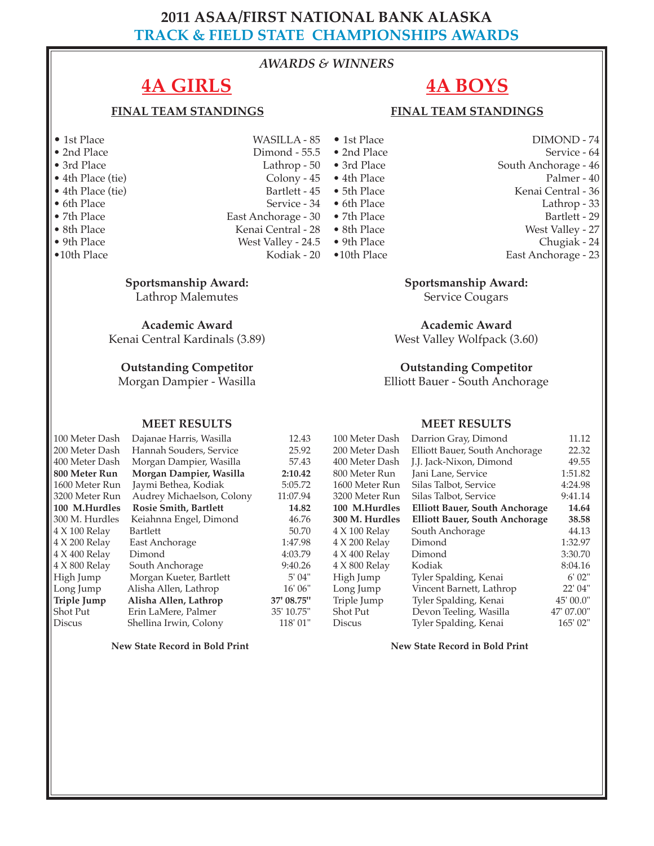### **2011 ASAA/FIRST NATIONAL BANK ALASKA TRACK & FIELD STATE CHAMPIONSHIPS AWARDS**

### *AWARDS & WINNERS*

# **4A GIRLS**

### **FINAL TEAM STANDINGS**

- 
- 
- 
- $\bullet$  4th Place (tie)
- 
- 
- 
- 
- $\bullet$ 10th Place
- **Sportsmanship Award:**

Lathrop Malemutes

**Academic Award** Kenai Central Kardinals (3.89)

### **Outstanding Competitor**

Morgan Dampier - Wasilla

#### **MEET RESULTS**

100 Meter Dash Dajanae Harris, Wasilla 12.43 200 Meter Dash Hannah Souders, Service 25.92<br>400 Meter Dash Morgan Dampier, Wasilla 57.43

400 Meter Dash Morgan Dampier, Wasilla **800 Meter Run Morgan Dampier, Wasilla 2:10.42** 1600 Meter Run Jaymi Bethea, Kodiak 5:05.72 3200 Meter Run Audrey Michaelson, Colony 11:07.94 **100 M.Hurdles Rosie Smith, Bartlett 14.82**<br> **14.82 14.82 14.82 14.82 14.76 14.76 14.76** 300 M. Hurdles Keiahnna Engel, Dimond 46.76 4 X 100 Relay Bartlett 50.70 4 X 200 Relay East Anchorage 1:47.98 4 X 400 Relay Dimond 4:03.79 4 X 800 Relay South Anchorage 9:40.26<br>High Jump Morgan Kueter, Bartlett 5' 04" High Jump Morgan Kueter, Bartlett Long Jump Alisha Allen, Lathrop 16' 06" **Triple Jump Alisha Allen, Lathrop 37' 08.75"** Shot Put Erin LaMere, Palmer 35' 10.75" Discus Shellina Irwin, Colony 118' 01"

**New State Record in Bold Print** 

# **4A BOYS**

### **FINAL TEAM STANDINGS**

• 1st Place WASILLA - 85 • 2nd Place Dimond - 55.5 Lathrop - 50 • 4th Place (tie) Colony - 45<br>• 4th Place (tie) Bartlett - 45 • 6th Place Service - 34<br>• 7th Place **Service - Service - 36**<br>• 7th Place Service - 30 • 7th Place East Anchorage - 30 • 7th Place East Anchorage - 30 • 7th Place Sth Place • 8th Place<br>
• 9th Place<br>
• 9th Place<br>
• 9th Place<br>
West Valley - 24.5<br>
• 9th Place

- 
- **West Valley 24.5 9th Place**<br>Kodiak 20 10th Place

• 6th Place Lathrop - 33

- 
- 
- 

### **Sportsmanship Award:**

Service Cougars

**Academic Award** West Valley Wolfpack (3.60)

### **Outstanding Competitor**

Elliott Bauer - South Anchorage

#### **MEET RESULTS**

| 100 Meter Dash | Darrion Gray, Dimond                  | 11.12      |
|----------------|---------------------------------------|------------|
| 200 Meter Dash | Elliott Bauer, South Anchorage        | 22.32      |
| 400 Meter Dash | J.J. Jack-Nixon, Dimond               | 49.55      |
| 800 Meter Run  | Jani Lane, Service                    | 1:51.82    |
| 1600 Meter Run | Silas Talbot, Service                 | 4:24.98    |
| 3200 Meter Run | Silas Talbot, Service                 | 9:41.14    |
| 100 M.Hurdles  | <b>Elliott Bauer, South Anchorage</b> | 14.64      |
| 300 M. Hurdles | <b>Elliott Bauer, South Anchorage</b> | 38.58      |
| 4 X 100 Relay  | South Anchorage                       | 44.13      |
| 4 X 200 Relay  | Dimond                                | 1:32.97    |
| 4 X 400 Relay  | Dimond                                | 3:30.70    |
| 4 X 800 Relay  | Kodiak                                | 8:04.16    |
| High Jump      | Tyler Spalding, Kenai                 | 6'02"      |
| Long Jump      | Vincent Barnett, Lathrop              | 22' 04"    |
| Triple Jump    | Tyler Spalding, Kenai                 | 45' 00.0"  |
| Shot Put       | Devon Teeling, Wasilla                | 47' 07.00" |
| <b>Discus</b>  | Tyler Spalding, Kenai                 | 165' 02"   |

**New State Record in Bold Print** 

- 1st Place DIMOND 74
- 2nd Place Service 64<br>• 3rd Place South Anchorage 46 South Anchorage - 46
	-
- 4th Place Palmer 40<br>• 5th Place Palmer 36 Kenai Central - 36
	- - Bartlett 29

- 8th Place West Valley 27<br>• 9th Place Chugiak 24 Chugiak - 24
	- East Anchorage 23